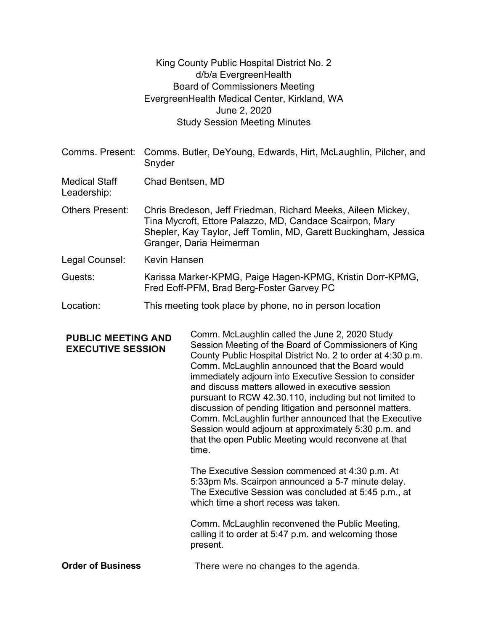|                                                       |                                                                                                                                                                                                                          | King County Public Hospital District No. 2<br>d/b/a EvergreenHealth<br><b>Board of Commissioners Meeting</b><br>EvergreenHealth Medical Center, Kirkland, WA<br>June 2, 2020<br><b>Study Session Meeting Minutes</b>                                                                                                                                                                                                                                                                                                                                                                                                                            |  |
|-------------------------------------------------------|--------------------------------------------------------------------------------------------------------------------------------------------------------------------------------------------------------------------------|-------------------------------------------------------------------------------------------------------------------------------------------------------------------------------------------------------------------------------------------------------------------------------------------------------------------------------------------------------------------------------------------------------------------------------------------------------------------------------------------------------------------------------------------------------------------------------------------------------------------------------------------------|--|
|                                                       | Comms. Present: Comms. Butler, DeYoung, Edwards, Hirt, McLaughlin, Pilcher, and<br>Snyder                                                                                                                                |                                                                                                                                                                                                                                                                                                                                                                                                                                                                                                                                                                                                                                                 |  |
| <b>Medical Staff</b><br>Leadership:                   | Chad Bentsen, MD                                                                                                                                                                                                         |                                                                                                                                                                                                                                                                                                                                                                                                                                                                                                                                                                                                                                                 |  |
| <b>Others Present:</b>                                | Chris Bredeson, Jeff Friedman, Richard Meeks, Aileen Mickey,<br>Tina Mycroft, Ettore Palazzo, MD, Candace Scairpon, Mary<br>Shepler, Kay Taylor, Jeff Tomlin, MD, Garett Buckingham, Jessica<br>Granger, Daria Heimerman |                                                                                                                                                                                                                                                                                                                                                                                                                                                                                                                                                                                                                                                 |  |
| Legal Counsel:                                        | <b>Kevin Hansen</b>                                                                                                                                                                                                      |                                                                                                                                                                                                                                                                                                                                                                                                                                                                                                                                                                                                                                                 |  |
| Guests:                                               | Karissa Marker-KPMG, Paige Hagen-KPMG, Kristin Dorr-KPMG,<br>Fred Eoff-PFM, Brad Berg-Foster Garvey PC                                                                                                                   |                                                                                                                                                                                                                                                                                                                                                                                                                                                                                                                                                                                                                                                 |  |
| Location:                                             | This meeting took place by phone, no in person location                                                                                                                                                                  |                                                                                                                                                                                                                                                                                                                                                                                                                                                                                                                                                                                                                                                 |  |
| <b>PUBLIC MEETING AND</b><br><b>EXECUTIVE SESSION</b> |                                                                                                                                                                                                                          | Comm. McLaughlin called the June 2, 2020 Study<br>Session Meeting of the Board of Commissioners of King<br>County Public Hospital District No. 2 to order at 4:30 p.m.<br>Comm. McLaughlin announced that the Board would<br>immediately adjourn into Executive Session to consider<br>and discuss matters allowed in executive session<br>pursuant to RCW 42.30.110, including but not limited to<br>discussion of pending litigation and personnel matters.<br>Comm. McLaughlin further announced that the Executive<br>Session would adjourn at approximately 5:30 p.m. and<br>that the open Public Meeting would reconvene at that<br>time. |  |

The Executive Session commenced at 4:30 p.m. At 5:33pm Ms. Scairpon announced a 5-7 minute delay. The Executive Session was concluded at 5:45 p.m., at which time a short recess was taken.

Comm. McLaughlin reconvened the Public Meeting, calling it to order at 5:47 p.m. and welcoming those present.

Order of Business There were no changes to the agenda.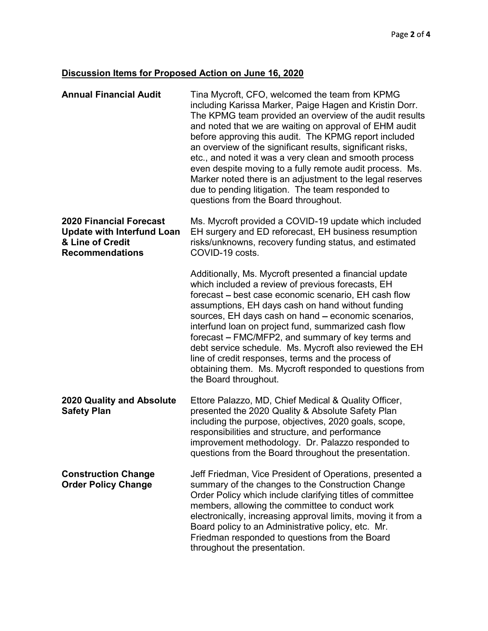## Discussion Items for Proposed Action on June 16, 2020

| <b>Annual Financial Audit</b>                                                                                     | Tina Mycroft, CFO, welcomed the team from KPMG<br>including Karissa Marker, Paige Hagen and Kristin Dorr.<br>The KPMG team provided an overview of the audit results<br>and noted that we are waiting on approval of EHM audit<br>before approving this audit. The KPMG report included<br>an overview of the significant results, significant risks,<br>etc., and noted it was a very clean and smooth process<br>even despite moving to a fully remote audit process. Ms.<br>Marker noted there is an adjustment to the legal reserves<br>due to pending litigation. The team responded to<br>questions from the Board throughout. |
|-------------------------------------------------------------------------------------------------------------------|--------------------------------------------------------------------------------------------------------------------------------------------------------------------------------------------------------------------------------------------------------------------------------------------------------------------------------------------------------------------------------------------------------------------------------------------------------------------------------------------------------------------------------------------------------------------------------------------------------------------------------------|
| <b>2020 Financial Forecast</b><br><b>Update with Interfund Loan</b><br>& Line of Credit<br><b>Recommendations</b> | Ms. Mycroft provided a COVID-19 update which included<br>EH surgery and ED reforecast, EH business resumption<br>risks/unknowns, recovery funding status, and estimated<br>COVID-19 costs.                                                                                                                                                                                                                                                                                                                                                                                                                                           |
|                                                                                                                   | Additionally, Ms. Mycroft presented a financial update<br>which included a review of previous forecasts, EH<br>forecast – best case economic scenario, EH cash flow<br>assumptions, EH days cash on hand without funding<br>sources, EH days cash on hand - economic scenarios,<br>interfund loan on project fund, summarized cash flow<br>forecast - FMC/MFP2, and summary of key terms and<br>debt service schedule. Ms. Mycroft also reviewed the EH<br>line of credit responses, terms and the process of<br>obtaining them. Ms. Mycroft responded to questions from<br>the Board throughout.                                    |
| <b>2020 Quality and Absolute</b><br><b>Safety Plan</b>                                                            | Ettore Palazzo, MD, Chief Medical & Quality Officer,<br>presented the 2020 Quality & Absolute Safety Plan<br>including the purpose, objectives, 2020 goals, scope,<br>responsibilities and structure, and performance<br>improvement methodology. Dr. Palazzo responded to<br>questions from the Board throughout the presentation.                                                                                                                                                                                                                                                                                                  |
| <b>Construction Change</b><br><b>Order Policy Change</b>                                                          | Jeff Friedman, Vice President of Operations, presented a<br>summary of the changes to the Construction Change<br>Order Policy which include clarifying titles of committee<br>members, allowing the committee to conduct work<br>electronically, increasing approval limits, moving it from a<br>Board policy to an Administrative policy, etc. Mr.<br>Friedman responded to questions from the Board<br>throughout the presentation.                                                                                                                                                                                                |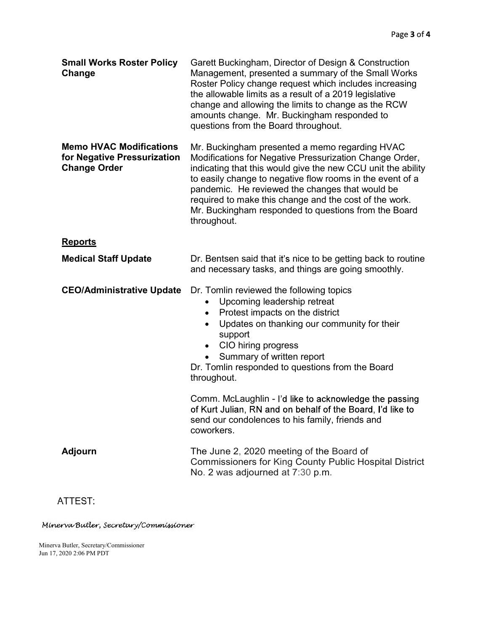|                                                                                      | Page 3 of 4                                                                                                                                                                                                                                                                                                                                                                                                                                                                                                           |
|--------------------------------------------------------------------------------------|-----------------------------------------------------------------------------------------------------------------------------------------------------------------------------------------------------------------------------------------------------------------------------------------------------------------------------------------------------------------------------------------------------------------------------------------------------------------------------------------------------------------------|
| <b>Small Works Roster Policy</b><br>Change                                           | Garett Buckingham, Director of Design & Construction<br>Management, presented a summary of the Small Works<br>Roster Policy change request which includes increasing<br>the allowable limits as a result of a 2019 legislative<br>change and allowing the limits to change as the RCW<br>amounts change. Mr. Buckingham responded to<br>questions from the Board throughout.                                                                                                                                          |
| <b>Memo HVAC Modifications</b><br>for Negative Pressurization<br><b>Change Order</b> | Mr. Buckingham presented a memo regarding HVAC<br>Modifications for Negative Pressurization Change Order,<br>indicating that this would give the new CCU unit the ability<br>to easily change to negative flow rooms in the event of a<br>pandemic. He reviewed the changes that would be<br>required to make this change and the cost of the work.<br>Mr. Buckingham responded to questions from the Board<br>throughout.                                                                                            |
| <b>Reports</b>                                                                       |                                                                                                                                                                                                                                                                                                                                                                                                                                                                                                                       |
| <b>Medical Staff Update</b>                                                          | Dr. Bentsen said that it's nice to be getting back to routine<br>and necessary tasks, and things are going smoothly.                                                                                                                                                                                                                                                                                                                                                                                                  |
| <b>CEO/Administrative Update</b>                                                     | Dr. Tomlin reviewed the following topics<br>Upcoming leadership retreat<br>٠<br>Protest impacts on the district<br>$\bullet$<br>Updates on thanking our community for their<br>support<br>• CIO hiring progress<br>Summary of written report<br>$\bullet$<br>Dr. Tomlin responded to questions from the Board<br>throughout.<br>Comm. McLaughlin - I'd like to acknowledge the passing<br>of Kurt Julian, RN and on behalf of the Board, I'd like to<br>send our condolences to his family, friends and<br>coworkers. |
| <b>Adjourn</b>                                                                       | The June 2, 2020 meeting of the Board of<br><b>Commissioners for King County Public Hospital District</b><br>No. 2 was adjourned at 7:30 p.m.                                                                                                                                                                                                                                                                                                                                                                         |

## ATTEST:

Minerva Butler, Secretary/Commissioner

Minerva Butler, Secretary/Commissioner Jun 17, 2020 2:06 PM PDT